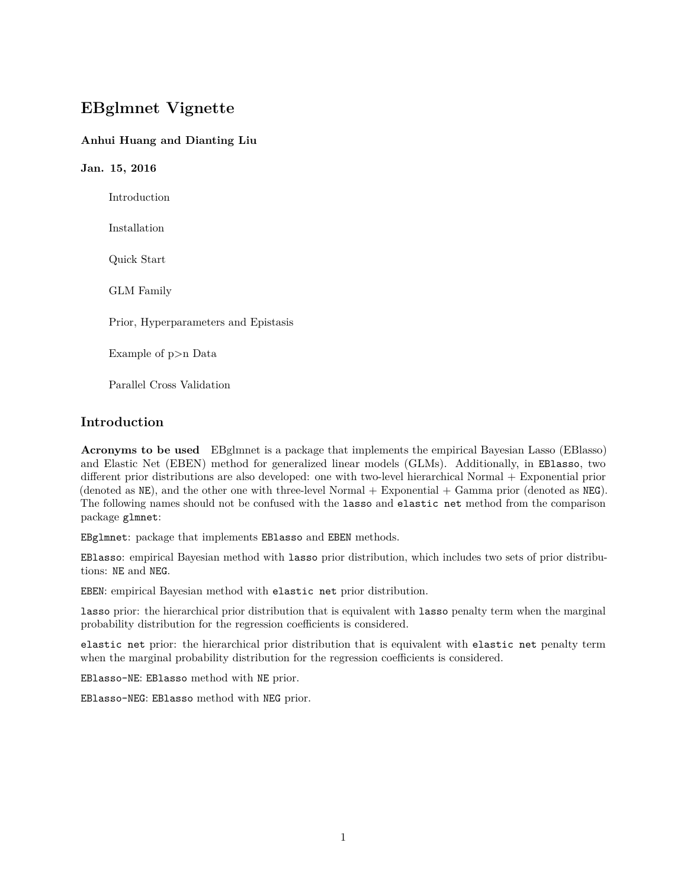# **EBglmnet Vignette**

## **Anhui Huang and Dianting Liu**

**Jan. 15, 2016** Introduction Installation Quick Start GLM Family Prior, Hyperparameters and Epistasis Example of p>n Data Parallel Cross Validation

## **Introduction**

**Acronyms to be used** EBglmnet is a package that implements the empirical Bayesian Lasso (EBlasso) and Elastic Net (EBEN) method for generalized linear models (GLMs). Additionally, in EBlasso, two different prior distributions are also developed: one with two-level hierarchical Normal + Exponential prior (denoted as  $NE$ ), and the other one with three-level Normal + Exponential + Gamma prior (denoted as  $NEG$ ). The following names should not be confused with the lasso and elastic net method from the comparison package glmnet:

EBglmnet: package that implements EBlasso and EBEN methods.

EBlasso: empirical Bayesian method with lasso prior distribution, which includes two sets of prior distributions: NE and NEG.

EBEN: empirical Bayesian method with elastic net prior distribution.

lasso prior: the hierarchical prior distribution that is equivalent with lasso penalty term when the marginal probability distribution for the regression coefficients is considered.

elastic net prior: the hierarchical prior distribution that is equivalent with elastic net penalty term when the marginal probability distribution for the regression coefficients is considered.

EBlasso-NE: EBlasso method with NE prior.

EBlasso-NEG: EBlasso method with NEG prior.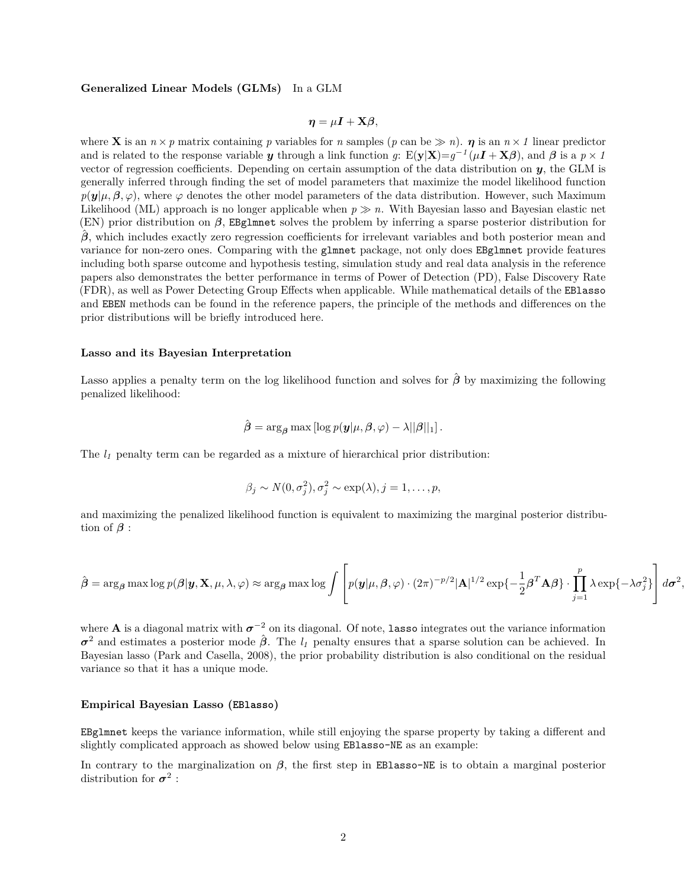#### **Generalized Linear Models (GLMs)** In a GLM

$$
\boldsymbol{\eta} = \mu \boldsymbol{I} + \mathbf{X} \boldsymbol{\beta},
$$

where **X** is an  $n \times p$  matrix containing p variables for n samples (p can be  $\gg n$ ).  $\eta$  is an  $n \times 1$  linear predictor and is related to the response variable *y* through a link function *g*:  $E(y|X)=g^{-1}(\mu I + X\beta)$ , and  $\beta$  is a  $p \times 1$ vector of regression coefficients. Depending on certain assumption of the data distribution on *y*, the GLM is generally inferred through finding the set of model parameters that maximize the model likelihood function  $p(\mathbf{y}|\mu,\beta,\varphi)$ , where  $\varphi$  denotes the other model parameters of the data distribution. However, such Maximum Likelihood (ML) approach is no longer applicable when  $p \gg n$ . With Bayesian lasso and Bayesian elastic net (EN) prior distribution on *β*, EBglmnet solves the problem by inferring a sparse posterior distribution for *β*ˆ, which includes exactly zero regression coefficients for irrelevant variables and both posterior mean and variance for non-zero ones. Comparing with the glmnet package, not only does EBglmnet provide features including both sparse outcome and hypothesis testing, simulation study and real data analysis in the reference papers also demonstrates the better performance in terms of Power of Detection (PD), False Discovery Rate (FDR), as well as Power Detecting Group Effects when applicable. While mathematical details of the EBlasso and EBEN methods can be found in the reference papers, the principle of the methods and differences on the prior distributions will be briefly introduced here.

#### **Lasso and its Bayesian Interpretation**

Lasso applies a penalty term on the log likelihood function and solves for *β*ˆ by maximizing the following penalized likelihood:

$$
\hat{\boldsymbol{\beta}} = \arg_{\boldsymbol{\beta}} \max \left[ \log p(\boldsymbol{y} | \mu, \boldsymbol{\beta}, \varphi) - \lambda ||\boldsymbol{\beta}||_1 \right].
$$

The  $l<sub>I</sub>$  penalty term can be regarded as a mixture of hierarchical prior distribution:

$$
\beta_j \sim N(0, \sigma_j^2), \sigma_j^2 \sim \exp(\lambda), j = 1, \ldots, p,
$$

and maximizing the penalized likelihood function is equivalent to maximizing the marginal posterior distribution of  $\beta$  :

$$
\hat{\boldsymbol{\beta}} = \arg_{\boldsymbol{\beta}} \max \log p(\boldsymbol{\beta} | \mathbf{y}, \mathbf{X}, \boldsymbol{\mu}, \lambda, \varphi) \approx \arg_{\boldsymbol{\beta}} \max \log \int \left[ p(\mathbf{y} | \boldsymbol{\mu}, \boldsymbol{\beta}, \varphi) \cdot (2\pi)^{-p/2} |\mathbf{A}|^{1/2} \exp\{-\frac{1}{2} \boldsymbol{\beta}^T \mathbf{A} \boldsymbol{\beta}\} \cdot \prod_{j=1}^p \lambda \exp\{-\lambda \sigma_j^2\} \right] d\sigma^2
$$

*,*

where **A** is a diagonal matrix with  $\sigma^{-2}$  on its diagonal. Of note, lasso integrates out the variance information *σ* <sup>2</sup> and estimates a posterior mode *β*ˆ. The *l<sup>1</sup>* penalty ensures that a sparse solution can be achieved. In Bayesian lasso (Park and Casella, 2008), the prior probability distribution is also conditional on the residual variance so that it has a unique mode.

#### **Empirical Bayesian Lasso (EBlasso)**

EBglmnet keeps the variance information, while still enjoying the sparse property by taking a different and slightly complicated approach as showed below using EBlasso-NE as an example:

In contrary to the marginalization on  $\beta$ , the first step in EBlasso-NE is to obtain a marginal posterior distribution for  $\sigma^2$ :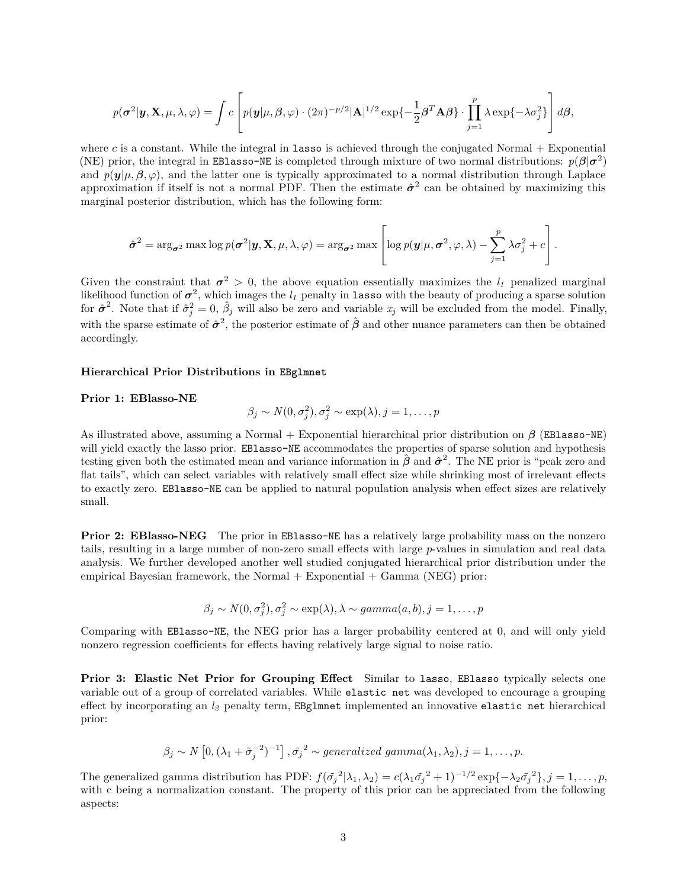$$
p(\boldsymbol{\sigma}^2 | \boldsymbol{y}, \mathbf{X}, \mu, \lambda, \varphi) = \int c \left[ p(\boldsymbol{y} | \mu, \beta, \varphi) \cdot (2\pi)^{-p/2} |\mathbf{A}|^{1/2} \exp\{-\frac{1}{2}\beta^T \mathbf{A}\beta\} \cdot \prod_{j=1}^p \lambda \exp\{-\lambda \sigma_j^2\} \right] d\beta,
$$

where  $c$  is a constant. While the integral in **lasso** is achieved through the conjugated Normal  $+$  Exponential (NE) prior, the integral in EBlasso-NE is completed through mixture of two normal distributions:  $p(\beta|\sigma^2)$ and  $p(\mathbf{y}|\mu, \beta, \varphi)$ , and the latter one is typically approximated to a normal distribution through Laplace approximation if itself is not a normal PDF. Then the estimate  $\hat{\sigma}^2$  can be obtained by maximizing this marginal posterior distribution, which has the following form:

$$
\hat{\sigma}^2 = \arg_{\sigma^2} \max \log p(\sigma^2 | \mathbf{y}, \mathbf{X}, \mu, \lambda, \varphi) = \arg_{\sigma^2} \max \left[ \log p(\mathbf{y} | \mu, \sigma^2, \varphi, \lambda) - \sum_{j=1}^p \lambda \sigma_j^2 + c \right].
$$

Given the constraint that  $\sigma^2 > 0$ , the above equation essentially maximizes the  $l_1$  penalized marginal likelihood function of  $\sigma^2$ , which images the  $l_1$  penalty in lasso with the beauty of producing a sparse solution for  $\hat{\sigma}^2$ . Note that if  $\hat{\sigma}^2_j = 0$ ,  $\hat{\beta}_j$  will also be zero and variable  $x_j$  will be excluded from the model. Finally, with the sparse estimate of  $\hat{\sigma}^2$ , the posterior estimate of  $\hat{\beta}$  and other nuance parameters can then be obtained accordingly.

#### **Hierarchical Prior Distributions in EBglmnet**

#### **Prior 1: EBlasso-NE**

$$
\beta_j \sim N(0, \sigma_j^2), \sigma_j^2 \sim \exp(\lambda), j = 1, \dots, p
$$

As illustrated above, assuming a Normal + Exponential hierarchical prior distribution on *β* (EBlasso-NE) will yield exactly the lasso prior. EBlasso-NE accommodates the properties of sparse solution and hypothesis testing given both the estimated mean and variance information in  $\hat{\beta}$  and  $\hat{\sigma}^2$ . The NE prior is "peak zero and flat tails", which can select variables with relatively small effect size while shrinking most of irrelevant effects to exactly zero. EBlasso-NE can be applied to natural population analysis when effect sizes are relatively small.

**Prior 2: EBlasso-NEG** The prior in EBlasso-NE has a relatively large probability mass on the nonzero tails, resulting in a large number of non-zero small effects with large *p*-values in simulation and real data analysis. We further developed another well studied conjugated hierarchical prior distribution under the empirical Bayesian framework, the Normal  $+$  Exponential  $+$  Gamma (NEG) prior:

$$
\beta_j \sim N(0, \sigma_j^2), \sigma_j^2 \sim \exp(\lambda), \lambda \sim gamma(a, b), j = 1, \ldots, p
$$

Comparing with EBlasso-NE, the NEG prior has a larger probability centered at 0, and will only yield nonzero regression coefficients for effects having relatively large signal to noise ratio.

**Prior 3: Elastic Net Prior for Grouping Effect** Similar to lasso, EBlasso typically selects one variable out of a group of correlated variables. While elastic net was developed to encourage a grouping effect by incorporating an *l<sup>2</sup>* penalty term, EBglmnet implemented an innovative elastic net hierarchical prior:

$$
\beta_j \sim N\left[0, (\lambda_1 + \tilde{\sigma}_j^{-2})^{-1}\right], \tilde{\sigma}_j^2 \sim generalized \gamma \gamma \gamma \gamma \gamma \gamma \gamma \gamma \gamma \gamma \gamma \gamma \gamma \gamma \gamma \gamma
$$

The generalized gamma distribution has PDF:  $f(\tilde{\sigma_j}^2 | \lambda_1, \lambda_2) = c(\lambda_1 \tilde{\sigma_j}^2 + 1)^{-1/2} \exp\{-\lambda_2 \tilde{\sigma_j}^2\}, j = 1, \ldots, p$ , with c being a normalization constant. The property of this prior can be appreciated from the following aspects: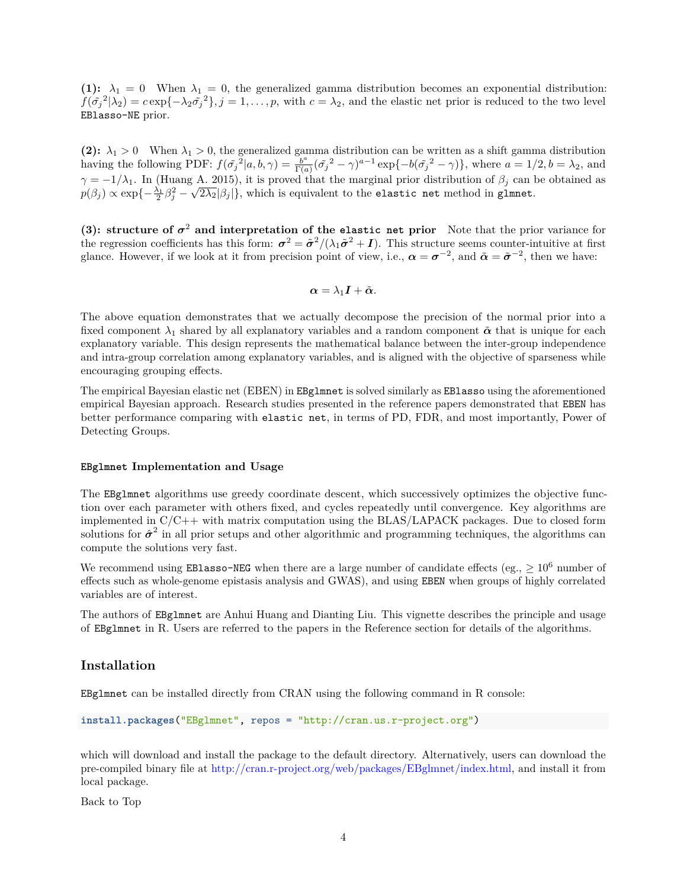(1):  $\lambda_1 = 0$  When  $\lambda_1 = 0$ , the generalized gamma distribution becomes an exponential distribution:  $f(\tilde{\sigma_j}^2|\lambda_2) = c \exp\{-\lambda_2 \tilde{\sigma_j}^2\}, j = 1, \ldots, p$ , with  $c = \lambda_2$ , and the elastic net prior is reduced to the two level EBlasso-NE prior.

**(2):**  $\lambda_1 > 0$  When  $\lambda_1 > 0$ , the generalized gamma distribution can be written as a shift gamma distribution having the following PDF:  $f(\tilde{\sigma_j}^2|a, b, \gamma) = \frac{b^a}{\Gamma(a)}$  $\frac{b^a}{\Gamma(a)}(\tilde{\sigma_j}^2 - \gamma)^{a-1} \exp\{-b(\tilde{\sigma_j}^2 - \gamma)\}\$ , where  $a = 1/2, b = \lambda_2$ , and  $\gamma = -1/\lambda_1$ . In (Huang A. 2015), it is proved that the marginal prior distribution of  $\beta_j$  can be obtained as  $p(\beta_j) \propto \exp\{-\frac{\lambda_1}{2}\beta_j^2 - \sqrt{2\lambda_2}|\beta_j|\},$  which is equivalent to the elastic net method in glmnet.

**(3):** structure of  $\sigma^2$  and interpretation of the elastic net prior Note that the prior variance for the regression coefficients has this form:  $\sigma^2 = \tilde{\sigma}^2/(\lambda_1 \tilde{\sigma}^2 + I)$ . This structure seems counter-intuitive at first glance. However, if we look at it from precision point of view, i.e.,  $\alpha = \sigma^{-2}$ , and  $\tilde{\alpha} = \tilde{\sigma}^{-2}$ , then we have:

$$
\boldsymbol{\alpha}=\lambda_{1}\boldsymbol{I}+\tilde{\boldsymbol{\alpha}}.
$$

The above equation demonstrates that we actually decompose the precision of the normal prior into a fixed component  $\lambda_1$  shared by all explanatory variables and a random component  $\tilde{\alpha}$  that is unique for each explanatory variable. This design represents the mathematical balance between the inter-group independence and intra-group correlation among explanatory variables, and is aligned with the objective of sparseness while encouraging grouping effects.

The empirical Bayesian elastic net (EBEN) in EBglmnet is solved similarly as EBlasso using the aforementioned empirical Bayesian approach. Research studies presented in the reference papers demonstrated that EBEN has better performance comparing with elastic net, in terms of PD, FDR, and most importantly, Power of Detecting Groups.

#### **EBglmnet Implementation and Usage**

The EBglmnet algorithms use greedy coordinate descent, which successively optimizes the objective function over each parameter with others fixed, and cycles repeatedly until convergence. Key algorithms are implemented in  $C/C++$  with matrix computation using the BLAS/LAPACK packages. Due to closed form solutions for  $\hat{\sigma}^2$  in all prior setups and other algorithmic and programming techniques, the algorithms can compute the solutions very fast.

We recommend using **EBlasso-NEG** when there are a large number of candidate effects (eg.,  $\geq 10^6$  number of effects such as whole-genome epistasis analysis and GWAS), and using EBEN when groups of highly correlated variables are of interest.

The authors of EBglmnet are Anhui Huang and Dianting Liu. This vignette describes the principle and usage of EBglmnet in R. Users are referred to the papers in the Reference section for details of the algorithms.

## **Installation**

EBglmnet can be installed directly from CRAN using the following command in R console:

```
install.packages("EBglmnet", repos = "http://cran.us.r-project.org")
```
which will download and install the package to the default directory. Alternatively, users can download the pre-compiled binary file at [http://cran.r-project.org/web/packages/EBglmnet/index.html,](http://cran.r-project.org/web/packages/EBglmnet/index.html) and install it from local package.

Back to Top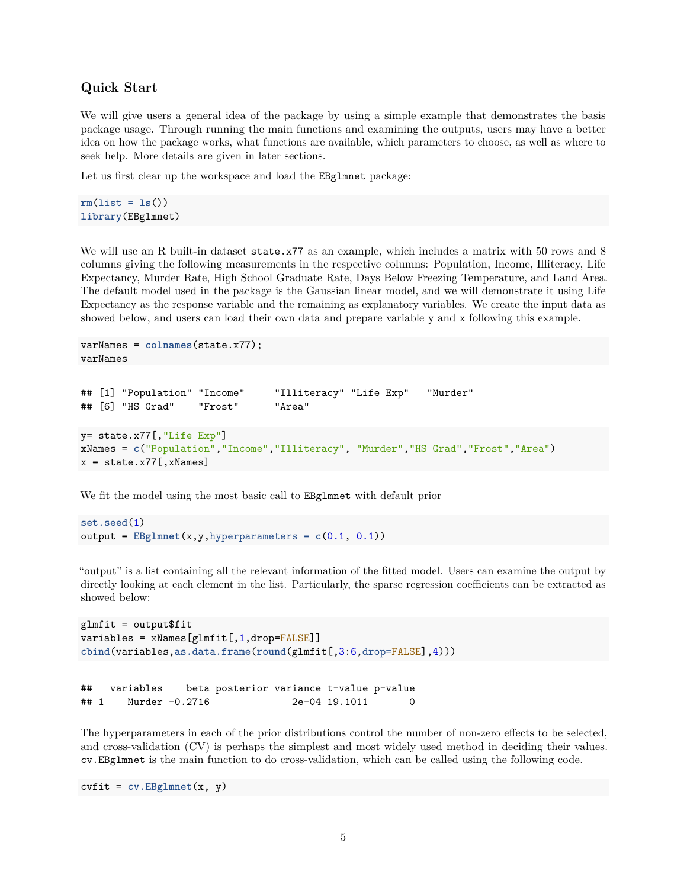## **Quick Start**

We will give users a general idea of the package by using a simple example that demonstrates the basis package usage. Through running the main functions and examining the outputs, users may have a better idea on how the package works, what functions are available, which parameters to choose, as well as where to seek help. More details are given in later sections.

Let us first clear up the workspace and load the **EBglmnet** package:

```
rm(list = ls())library(EBglmnet)
```
We will use an R built-in dataset state.x77 as an example, which includes a matrix with 50 rows and 8 columns giving the following measurements in the respective columns: Population, Income, Illiteracy, Life Expectancy, Murder Rate, High School Graduate Rate, Days Below Freezing Temperature, and Land Area. The default model used in the package is the Gaussian linear model, and we will demonstrate it using Life Expectancy as the response variable and the remaining as explanatory variables. We create the input data as showed below, and users can load their own data and prepare variable y and x following this example.

```
varNames = colnames(state.x77);
varNames
```

```
## [1] "Population" "Income" "Illiteracy" "Life Exp" "Murder"
## [6] "HS Grad" "Frost" "Area"
y= state.x77[,"Life Exp"]
xNames = c("Population","Income","Illiteracy", "Murder","HS Grad","Frost","Area")
x = state.x77[, xNames]
```
We fit the model using the most basic call to EBglmnet with default prior

```
set.seed(1)
output = EBglmnet(x,y,hyperparameters = c(0.1, 0.1))
```
"output" is a list containing all the relevant information of the fitted model. Users can examine the output by directly looking at each element in the list. Particularly, the sparse regression coefficients can be extracted as showed below:

```
glmfit = output$fit
variables = xNames[glmfit[,1,drop=FALSE]]
cbind(variables,as.data.frame(round(glmfit[,3:6,drop=FALSE],4)))
```

```
## variables beta posterior variance t-value p-value
## 1 Murder -0.2716 2e-04 19.1011 0
```
The hyperparameters in each of the prior distributions control the number of non-zero effects to be selected, and cross-validation (CV) is perhaps the simplest and most widely used method in deciding their values. cv.EBglmnet is the main function to do cross-validation, which can be called using the following code.

cvfit = **cv.EBglmnet**(x, y)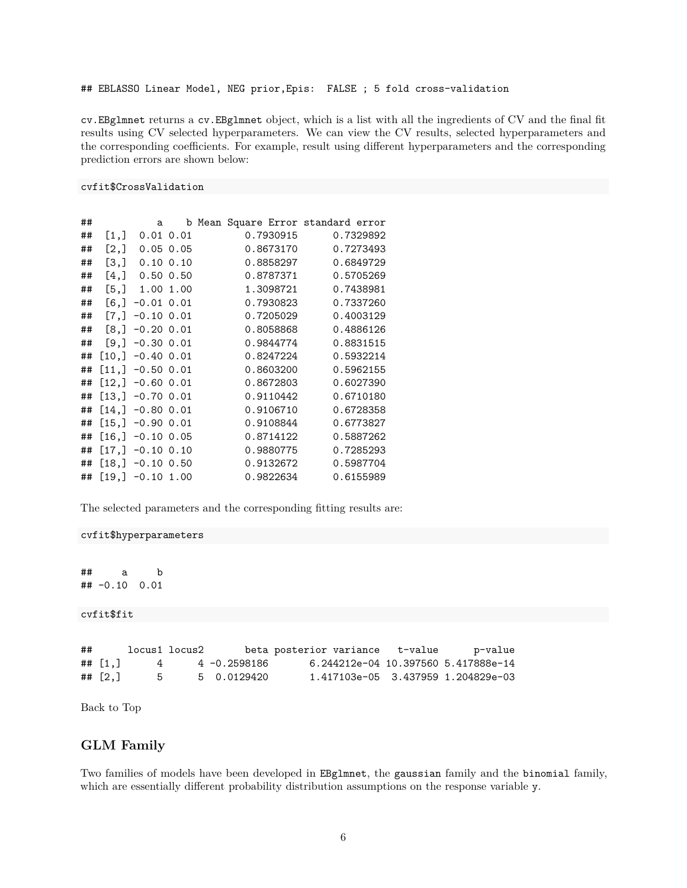## EBLASSO Linear Model, NEG prior,Epis: FALSE ; 5 fold cross-validation

cv.EBglmnet returns a cv.EBglmnet object, which is a list with all the ingredients of CV and the final fit results using CV selected hyperparameters. We can view the CV results, selected hyperparameters and the corresponding coefficients. For example, result using different hyperparameters and the corresponding prediction errors are shown below:

### cvfit\$CrossValidation

| ## |      | a                     |  |           | b Mean Square Error standard error |
|----|------|-----------------------|--|-----------|------------------------------------|
| ## | [1,] | $0.01$ $0.01$         |  | 0.7930915 | 0.7329892                          |
| ## |      | $[2,]$ 0.05 0.05      |  | 0.8673170 | 0.7273493                          |
| ## |      | $[3,]$ 0.10 0.10      |  | 0.8858297 | 0.6849729                          |
| ## |      | $[4,]$ 0.50 0.50      |  | 0.8787371 | 0.5705269                          |
| ## |      | $[5,]$ 1.00 1.00      |  | 1.3098721 | 0.7438981                          |
| ## |      | $[6,] -0.01 0.01$     |  | 0.7930823 | 0.7337260                          |
| ## |      | $[7,] -0.10 0.01$     |  | 0.7205029 | 0.4003129                          |
| ## |      | $[8,] -0.20, 0.01$    |  | 0.8058868 | 0.4886126                          |
| ## |      | $[9,] -0.30, 0.01$    |  | 0.9844774 | 0.8831515                          |
| ## |      | $[10,] -0.40 0.01$    |  | 0.8247224 | 0.5932214                          |
| ## |      | $[11,] -0.50 0.01$    |  | 0.8603200 | 0.5962155                          |
| ## |      | $[12,] -0.60 0.01$    |  | 0.8672803 | 0.6027390                          |
| ## |      | $[13,] -0.70, 0.01$   |  | 0.9110442 | 0.6710180                          |
| ## |      | $[14,] -0.80 0.01$    |  | 0.9106710 | 0.6728358                          |
| ## |      | $[15,] -0.90 0.01$    |  | 0.9108844 | 0.6773827                          |
| ## |      | $[16,] -0.10 0.05$    |  | 0.8714122 | 0.5887262                          |
| ## |      | $[17,] -0.10 0.10$    |  | 0.9880775 | 0.7285293                          |
|    |      | ## $[18,] -0.10 0.50$ |  | 0.9132672 | 0.5987704                          |
|    |      | ## $[19,] -0.10 1.00$ |  | 0.9822634 | 0.6155989                          |

The selected parameters and the corresponding fitting results are:

#### cvfit\$hyperparameters

## a b ## -0.10 0.01

```
cvfit$fit
```

| ## |                            |               | locus1 locus2 |              | beta posterior variance t-value     | p-value                            |
|----|----------------------------|---------------|---------------|--------------|-------------------------------------|------------------------------------|
|    | ## $\lceil 1 \cdot \rceil$ |               |               | 4 -0.2598186 | 6.244212e-04 10.397560 5.417888e-14 |                                    |
|    | ## $\lceil 2.1 \rceil$     | $\mathcal{L}$ |               | 5 0.0129420  |                                     | 1.417103e-05 3.437959 1.204829e-03 |

Back to Top

## **GLM Family**

Two families of models have been developed in EBglmnet, the gaussian family and the binomial family, which are essentially different probability distribution assumptions on the response variable y.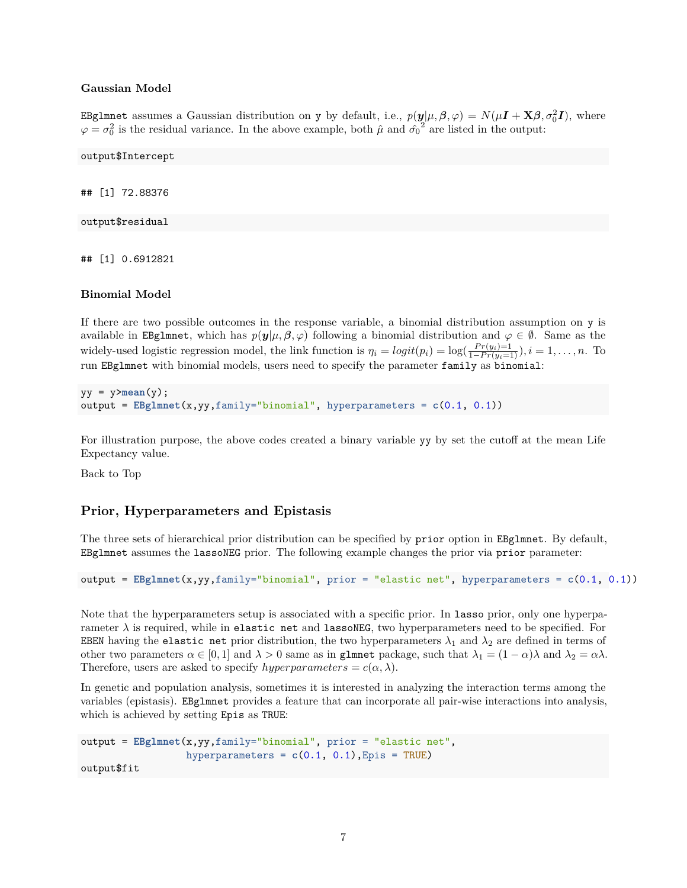#### **Gaussian Model**

EBglmnet assumes a Gaussian distribution on y by default, i.e.,  $p(\bm{y}|\mu, \bm{\beta}, \varphi) = N(\mu \bm{I} + \mathbf{X}\bm{\beta}, \sigma_0^2 \bm{I})$ , where  $\varphi = \sigma_0^2$  is the residual variance. In the above example, both  $\hat{\mu}$  and  $\hat{\sigma_0}^2$  are listed in the output:

output\$Intercept

## [1] 72.88376

output\$residual

## [1] 0.6912821

#### **Binomial Model**

If there are two possible outcomes in the response variable, a binomial distribution assumption on y is available in EBglmnet, which has  $p(y|\mu, \beta, \varphi)$  following a binomial distribution and  $\varphi \in \emptyset$ . Same as the widely-used logistic regression model, the link function is  $\eta_i = logit(p_i) = log(\frac{Pr(y_i)=1}{1-Pr(y_i=1)})$ ,  $i = 1, ..., n$ . To run EBglmnet with binomial models, users need to specify the parameter family as binomial:

```
yy = y \geq mean(y);
output = EBglmnet(x,yy,family="binomial", hyperparameters = c(0.1, 0.1))
```
For illustration purpose, the above codes created a binary variable yy by set the cutoff at the mean Life Expectancy value.

Back to Top

## **Prior, Hyperparameters and Epistasis**

The three sets of hierarchical prior distribution can be specified by prior option in EBglmnet. By default, EBglmnet assumes the lassoNEG prior. The following example changes the prior via prior parameter:

output = **EBglmnet**(x,yy,family="binomial", prior = "elastic net", hyperparameters = **c**(0.1, 0.1))

Note that the hyperparameters setup is associated with a specific prior. In lasso prior, only one hyperparameter *λ* is required, while in elastic net and lassoNEG, two hyperparameters need to be specified. For EBEN having the elastic net prior distribution, the two hyperparameters  $\lambda_1$  and  $\lambda_2$  are defined in terms of other two parameters  $\alpha \in [0,1]$  and  $\lambda > 0$  same as in gluinet package, such that  $\lambda_1 = (1 - \alpha)\lambda$  and  $\lambda_2 = \alpha\lambda$ . Therefore, users are asked to specify *hyperparameters* =  $c(\alpha, \lambda)$ .

In genetic and population analysis, sometimes it is interested in analyzing the interaction terms among the variables (epistasis). EBglmnet provides a feature that can incorporate all pair-wise interactions into analysis, which is achieved by setting Epis as TRUE:

```
output = EBglmnet(x,yy,family="binomial", prior = "elastic net",
                  hyperparameters = c(0.1, 0.1), Epis = TRUE)
output$fit
```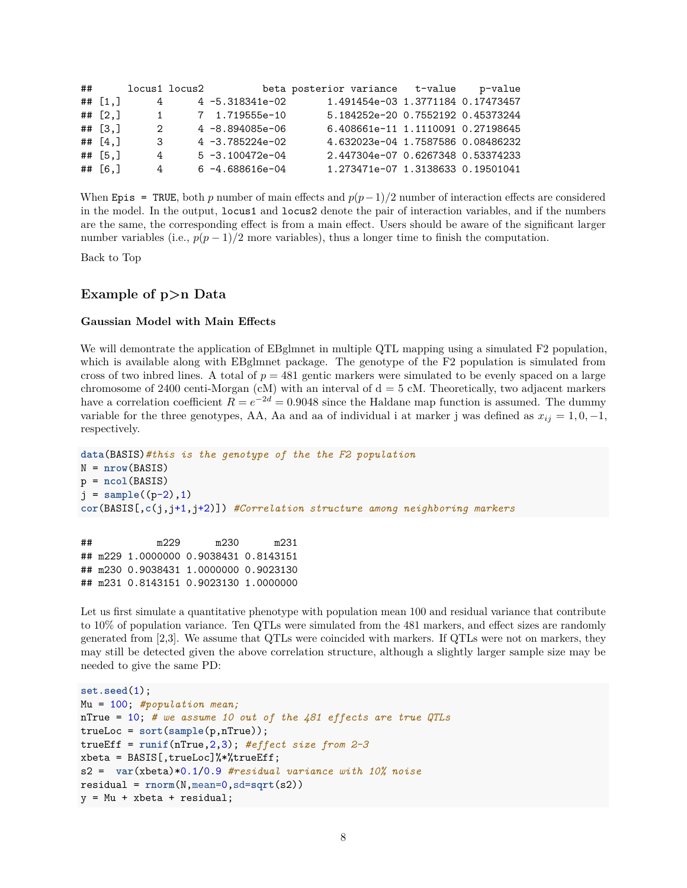| ## |           | locus1 locus2 |                      | beta posterior variance t-value   | p-value |
|----|-----------|---------------|----------------------|-----------------------------------|---------|
|    | ## $[1,]$ | 4             | $4 - 5.318341e - 02$ | 1.491454e-03 1.3771184 0.17473457 |         |
|    | ## $[2,]$ | 1             | 7 1.719555e-10       | 5.184252e-20 0.7552192 0.45373244 |         |
|    | $##$ [3.] | 2             | $4 - 8.894085e - 06$ | 6.408661e-11 1.1110091 0.27198645 |         |
|    | ## $[4.]$ | 3             | $4 - 3.785224e - 02$ | 4.632023e-04 1.7587586 0.08486232 |         |
|    | $##$ [5.] | 4             | $5 - 3.100472e - 04$ | 2.447304e-07 0.6267348 0.53374233 |         |
|    | ## $[6.]$ | 4             | $6 - 4.688616e - 04$ | 1.273471e-07 1.3138633 0.19501041 |         |

When Epis = TRUE, both *p* number of main effects and  $p(p-1)/2$  number of interaction effects are considered in the model. In the output, locus1 and locus2 denote the pair of interaction variables, and if the numbers are the same, the corresponding effect is from a main effect. Users should be aware of the significant larger number variables (i.e.,  $p(p-1)/2$  more variables), thus a longer time to finish the computation.

Back to Top

## **Example of p>n Data**

#### **Gaussian Model with Main Effects**

We will demontrate the application of EBglmnet in multiple QTL mapping using a simulated F2 population, which is available along with EBglmnet package. The genotype of the F2 population is simulated from cross of two inbred lines. A total of  $p = 481$  gentic markers were simulated to be evenly spaced on a large chromosome of 2400 centi-Morgan (cM) with an interval of  $d = 5$  cM. Theoretically, two adjacent markers have a correlation coefficient  $R = e^{-2d} = 0.9048$  since the Haldane map function is assumed. The dummy variable for the three genotypes, AA, Aa and aa of individual i at marker j was defined as  $x_{ij} = 1, 0, -1$ , respectively.

```
data(BASIS)#this is the genotype of the the F2 population
N = nrow(BASIS)
p = ncol(BASIS)
j = sample((p-2), 1)cor(BASIS[,c(j,j+1,j+2)]) #Correlation structure among neighboring markers
```
## m229 m230 m231 ## m229 1.0000000 0.9038431 0.8143151 ## m230 0.9038431 1.0000000 0.9023130 ## m231 0.8143151 0.9023130 1.0000000

Let us first simulate a quantitative phenotype with population mean 100 and residual variance that contribute to 10% of population variance. Ten QTLs were simulated from the 481 markers, and effect sizes are randomly generated from [2,3]. We assume that QTLs were coincided with markers. If QTLs were not on markers, they may still be detected given the above correlation structure, although a slightly larger sample size may be needed to give the same PD:

```
set.seed(1);
Mu = 100; #population mean;
nTrue = 10; # we assume 10 out of the 481 effects are true QTLs
trueLoc = sort(sample(p,nTrue));
trueEff = runif(nTrue,2,3); #effect size from 2-3
xbeta = BASIS[,trueLoc]%*%trueEff;
s2 = var(xbeta)*0.1/0.9 #residual variance with 10% noise
residual = rnorm(N,mean=0,sd=sqrt(s2))
y = Mu + xbeta + residual;
```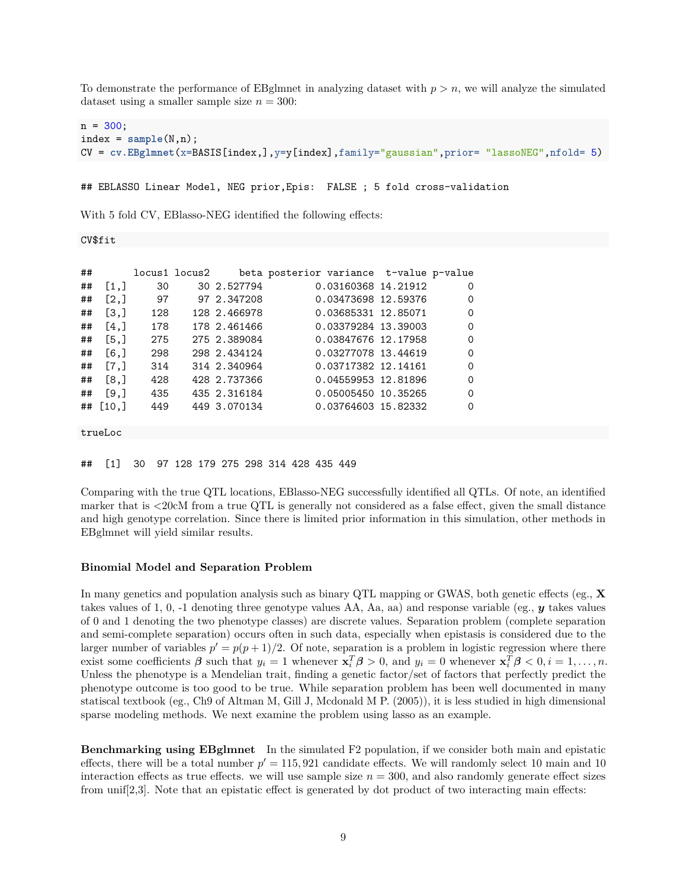To demonstrate the performance of EBglmnet in analyzing dataset with  $p > n$ , we will analyze the simulated dataset using a smaller sample size  $n = 300$ :

```
n = 300;index = sample(N, n);CV = cv.EBglmnet(x=BASIS[index,],y=y[index],family="gaussian",prior= "lassoNEG",nfold= 5)
```
## EBLASSO Linear Model, NEG prior,Epis: FALSE ; 5 fold cross-validation

With 5 fold CV, EBlasso-NEG identified the following effects:

#### CV\$fit

| ## |                      |     | locus1 locus2 |              | beta posterior variance t-value p-value |          |
|----|----------------------|-----|---------------|--------------|-----------------------------------------|----------|
| ## | $\left[1, \right]$   | 30  |               | 30 2.527794  | 0.03160368 14.21912                     | $\Omega$ |
| ## | [2,]                 | 97  |               | 97 2.347208  | 0.03473698 12.59376                     | $\Omega$ |
| ## | $\left[3, \right]$   | 128 |               | 128 2.466978 | 0.03685331 12.85071                     | $\Omega$ |
| ## | [4,]                 | 178 |               | 178 2.461466 | 0.03379284 13.39003                     | $\Omega$ |
| ## | [5,]                 | 275 |               | 275 2.389084 | 0.03847676 12.17958                     | $\Omega$ |
| ## | [6,]                 | 298 |               | 298 2.434124 | 0.03277078 13.44619                     | $\Omega$ |
| ## | $\lceil 7.1 \rceil$  | 314 |               | 314 2.340964 | 0.03717382 12.14161                     | $\Omega$ |
| ## | [8,]                 | 428 |               | 428 2.737366 | 0.04559953 12.81896                     | $\Omega$ |
| ## | [9.1]                | 435 |               | 435 2.316184 | 0.05005450 10.35265                     | $\Omega$ |
| ## | $\lceil 10.1 \rceil$ | 449 |               | 449 3.070134 | 0.03764603 15.82332                     | $\Omega$ |

trueLoc

## [1] 30 97 128 179 275 298 314 428 435 449

Comparing with the true QTL locations, EBlasso-NEG successfully identified all QTLs. Of note, an identified marker that is <20cM from a true QTL is generally not considered as a false effect, given the small distance and high genotype correlation. Since there is limited prior information in this simulation, other methods in EBglmnet will yield similar results.

#### **Binomial Model and Separation Problem**

In many genetics and population analysis such as binary QTL mapping or GWAS, both genetic effects (eg., **X** takes values of 1, 0, -1 denoting three genotype values AA, Aa, aa) and response variable (eg., *y* takes values of 0 and 1 denoting the two phenotype classes) are discrete values. Separation problem (complete separation and semi-complete separation) occurs often in such data, especially when epistasis is considered due to the larger number of variables  $p' = p(p+1)/2$ . Of note, separation is a problem in logistic regression where there exist some coefficients  $\beta$  such that  $y_i = 1$  whenever  $\mathbf{x}_i^T \beta > 0$ , and  $y_i = 0$  whenever  $\mathbf{x}_i^T \beta < 0$ ,  $i = 1, ..., n$ . Unless the phenotype is a Mendelian trait, finding a genetic factor/set of factors that perfectly predict the phenotype outcome is too good to be true. While separation problem has been well documented in many statiscal textbook (eg., Ch9 of Altman M, Gill J, Mcdonald M P. (2005)), it is less studied in high dimensional sparse modeling methods. We next examine the problem using lasso as an example.

**Benchmarking using EBglmnet** In the simulated F2 population, if we consider both main and epistatic effects, there will be a total number  $p' = 115,921$  candidate effects. We will randomly select 10 main and 10 interaction effects as true effects. we will use sample size  $n = 300$ , and also randomly generate effect sizes from unif[2,3]. Note that an epistatic effect is generated by dot product of two interacting main effects: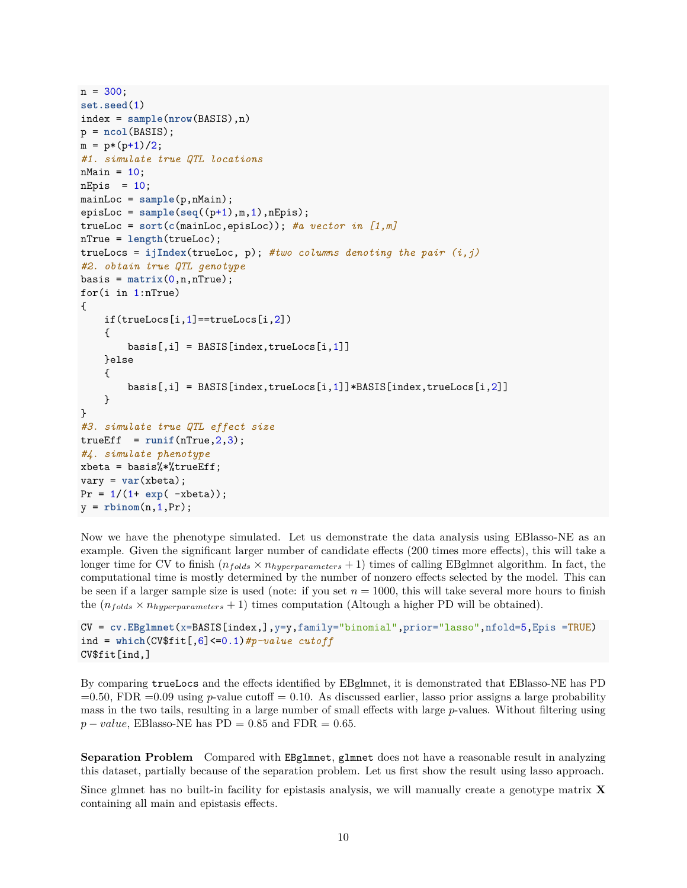```
n = 300;
set.seed(1)
index = sample(nrow(BASIS),n)
p = ncol(BASIS);
m = p*(p+1)/2;
#1. simulate true QTL locations
nMain = 10;
nEpis = 10;mainLoc = sample(p,nMain);
episLoc = sample(seq((p+1),m,1),nEpis);
trueLoc = sort(c(mainLoc,episLoc)); #a vector in [1,m]
nTrue = length(trueLoc);
trueLocs = ijIndex(trueLoc, p); #two columns denoting the pair (i,j)
#2. obtain true QTL genotype
basis = matrix(0, n, nTrue);for(i in 1:nTrue)
{
   if(trueLoss[i,1] == trueLoss[i,2]){
        basis[,i] = BASIS[index, trueLoss[i, 1]]}else
    {
        basis[,i] = BASIS[index,trueLocs[i,1]]*BASIS[index,trueLocs[i,2]]
   }
}
#3. simulate true QTL effect size
trueEff = runif(nTrue, 2, 3);#4. simulate phenotype
xbeta = basis%*%trueEff;
vary = var(xbeta);
Pr = 1/(1 + exp(-xbeta));
y = rbinom(n,1,Pr);
```
Now we have the phenotype simulated. Let us demonstrate the data analysis using EBlasso-NE as an example. Given the significant larger number of candidate effects (200 times more effects), this will take a longer time for CV to finish  $(n_{folds} \times n_{hyperparameters} + 1)$  times of calling EBglmnet algorithm. In fact, the computational time is mostly determined by the number of nonzero effects selected by the model. This can be seen if a larger sample size is used (note: if you set  $n = 1000$ , this will take several more hours to finish the  $(n_{folds} \times n_{hyperparameters} + 1)$  times computation (Altough a higher PD will be obtained).

```
CV = cv.EBglmnet(x=BASIS[index,],y=y,family="binomial",prior="lasso",nfold=5,Epis =TRUE)
ind = which(CV$fit[,6]<=0.1)#p-value cutoff
CV$fit[ind,]
```
By comparing trueLocs and the effects identified by EBglmnet, it is demonstrated that EBlasso-NE has PD  $=0.50$ , FDR  $=0.09$  using *p*-value cutoff  $= 0.10$ . As discussed earlier, lasso prior assigns a large probability mass in the two tails, resulting in a large number of small effects with large *p*-values. Without filtering using  $p-value$ , EBlasso-NE has PD = 0.85 and FDR = 0.65.

**Separation Problem** Compared with EBglmnet, glmnet does not have a reasonable result in analyzing this dataset, partially because of the separation problem. Let us first show the result using lasso approach.

Since glmnet has no built-in facility for epistasis analysis, we will manually create a genotype matrix **X** containing all main and epistasis effects.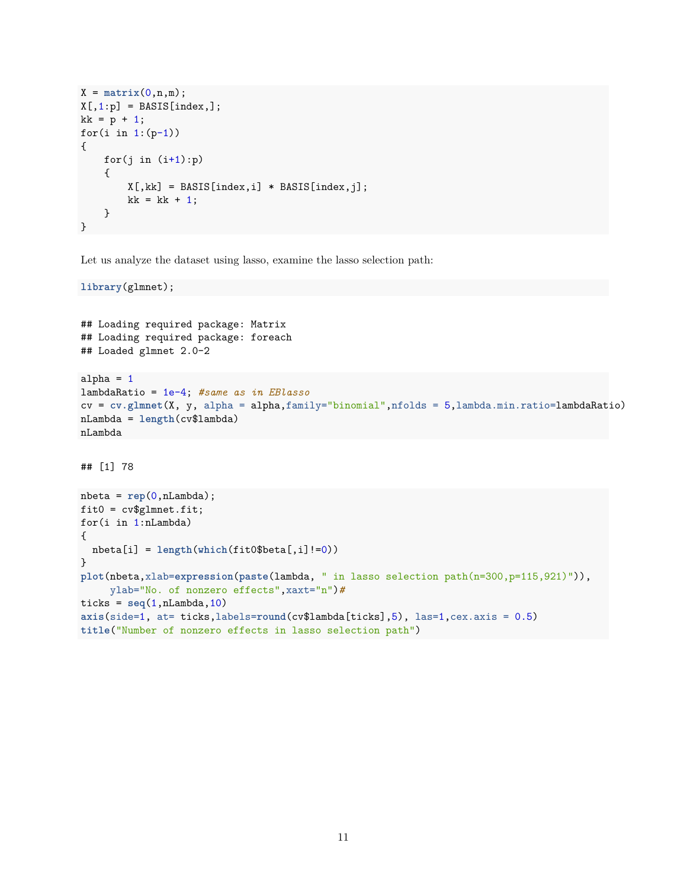```
X = matrix(0, n, m);X[, 1:p] = BASIS[index,];kk = p + 1;for(i in 1:(p-1)){
    for(j in (i+1):p){
       X[, kk] = BASIS[index,i] * BASIS[index,j];kk = kk + 1;}
}
```
Let us analyze the dataset using lasso, examine the lasso selection path:

**library**(glmnet);

```
## Loading required package: Matrix
## Loading required package: foreach
## Loaded glmnet 2.0-2
alpha = 1lambdaRatio = 1e-4; #same as in EBlasso
cv = cv.glmnet(X, y, alpha = alpha,family="binomial",nfolds = 5,lambda.min.ratio=lambdaRatio)
nLambda = length(cv$lambda)
nLambda
## [1] 78
nbeta = rep(0,nLambda);
fit0 = cv$glmnet.fit;
for(i in 1:nLambda)
{
 nbeta[i] = length(which(fit0$beta[,i]!=0))
}
plot(nbeta,xlab=expression(paste(lambda, " in lasso selection path(n=300,p=115,921)")),
     ylab="No. of nonzero effects",xaxt="n")#
ticks = seq(1, nLambda, 10)axis(side=1, at= ticks,labels=round(cv$lambda[ticks],5), las=1,cex.axis = 0.5)
title("Number of nonzero effects in lasso selection path")
```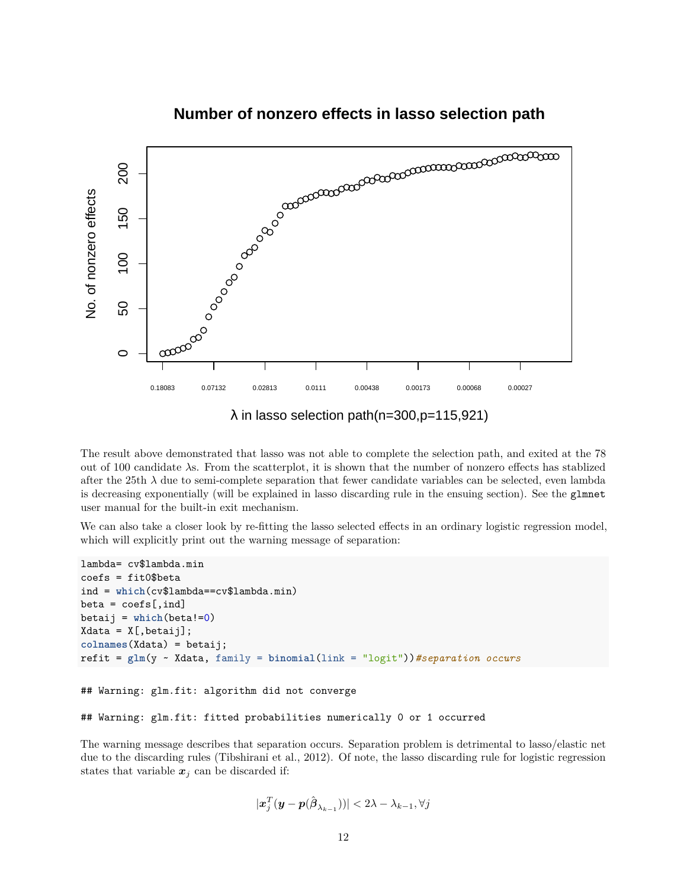

 $\lambda$  in lasso selection path(n=300,p=115,921)

The result above demonstrated that lasso was not able to complete the selection path, and exited at the 78 out of 100 candidate *λ*s. From the scatterplot, it is shown that the number of nonzero effects has stablized after the 25th  $\lambda$  due to semi-complete separation that fewer candidate variables can be selected, even lambda is decreasing exponentially (will be explained in lasso discarding rule in the ensuing section). See the glmnet user manual for the built-in exit mechanism.

We can also take a closer look by re-fitting the lasso selected effects in an ordinary logistic regression model, which will explicitly print out the warning message of separation:

```
lambda= cv$lambda.min
coefs = fit0$beta
ind = which(cv$lambda==cv$lambda.min)
beta = coefs[,ind]betaij = which(beta!=0)
Xdata = X[,betaij];colnames(Xdata) = betaij;
refit = glm(y ~ Xdata, family = binomial(link = "logit"))#separation occurs
```

```
## Warning: glm.fit: algorithm did not converge
```

```
## Warning: glm.fit: fitted probabilities numerically 0 or 1 occurred
```
The warning message describes that separation occurs. Separation problem is detrimental to lasso/elastic net due to the discarding rules (Tibshirani et al., 2012). Of note, the lasso discarding rule for logistic regression states that variable  $x_j$  can be discarded if:

$$
|\boldsymbol{x}_j^T(\boldsymbol{y}-\boldsymbol{p}(\hat{{\boldsymbol{\beta}}}_{\lambda_{k-1}}))|<2\lambda-\lambda_{k-1},\forall j
$$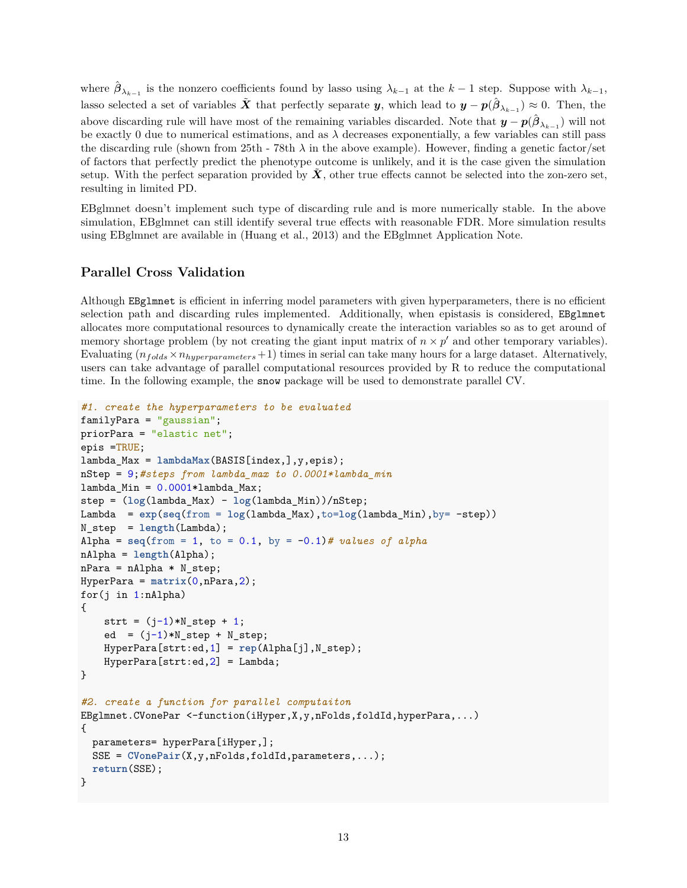where  $\hat{\beta}_{\lambda_{k-1}}$  is the nonzero coefficients found by lasso using  $\lambda_{k-1}$  at the  $k-1$  step. Suppose with  $\lambda_{k-1}$ , lasso selected a set of variables  $\tilde{X}$  that perfectly separate *y*, which lead to  $y - p(\hat{\beta}_{\lambda_{k-1}}) \approx 0$ . Then, the above discarding rule will have most of the remaining variables discarded. Note that  $y - p(\hat{\beta}_{\lambda_{k-1}})$  will not be exactly 0 due to numerical estimations, and as *λ* decreases exponentially, a few variables can still pass the discarding rule (shown from 25th - 78th  $\lambda$  in the above example). However, finding a genetic factor/set of factors that perfectly predict the phenotype outcome is unlikely, and it is the case given the simulation setup. With the perfect separation provided by  $X$ , other true effects cannot be selected into the zon-zero set, resulting in limited PD.

EBglmnet doesn't implement such type of discarding rule and is more numerically stable. In the above simulation, EBglmnet can still identify several true effects with reasonable FDR. More simulation results using EBglmnet are available in (Huang et al., 2013) and the EBglmnet Application Note.

## **Parallel Cross Validation**

Although EBglmnet is efficient in inferring model parameters with given hyperparameters, there is no efficient selection path and discarding rules implemented. Additionally, when epistasis is considered, EBglmnet allocates more computational resources to dynamically create the interaction variables so as to get around of memory shortage problem (by not creating the giant input matrix of  $n \times p'$  and other temporary variables). Evaluating  $(n_{folds} \times n_{hyperparameters} + 1)$  times in serial can take many hours for a large dataset. Alternatively, users can take advantage of parallel computational resources provided by R to reduce the computational time. In the following example, the snow package will be used to demonstrate parallel CV.

```
#1. create the hyperparameters to be evaluated
familyPara = "gaussian";
priorPara = "elastic net";
epis =TRUE;
lambda_Max = lambdaMax(BASIS[index,],y,epis);
nStep = 9;#steps from lambda_max to 0.0001*lambda_min
lambda_Min = 0.0001*lambda_Max;
step = (log(lambda_Max) - log(lambda_Min))/nStep;
Lambda = exp(seq(from = log(lambda_Max),to=log(lambda_Min),by= -step))
N_step = length(Lambda);
Alpha = \text{seq}(\text{from} = 1, \text{to} = 0.1, \text{by} = -0.1) # values of alpha
nAlpha = length(Alpha);
nPara = nAlpha * N_step;HyperPara = matrix(0,nPara,2);
for(j in 1:nAlpha){
    strt = (j-1)*N_step + 1;ed = (j-1)*N_setp + N_setp;HyperPara[strt:ed,1] = rep(Alpha[j],N_step);
    HyperPara[strt:ed,2] = Lambda;}
#2. create a function for parallel computaiton
EBglmnet.CVonePar <-function(iHyper,X,y,nFolds,foldId,hyperPara,...)
{
  parameters= hyperPara[iHyper,];
  SSE = \text{CVonePair}(X, y, nFolds, \text{foldId}, \text{parameters}, \dots);return(SSE);
}
```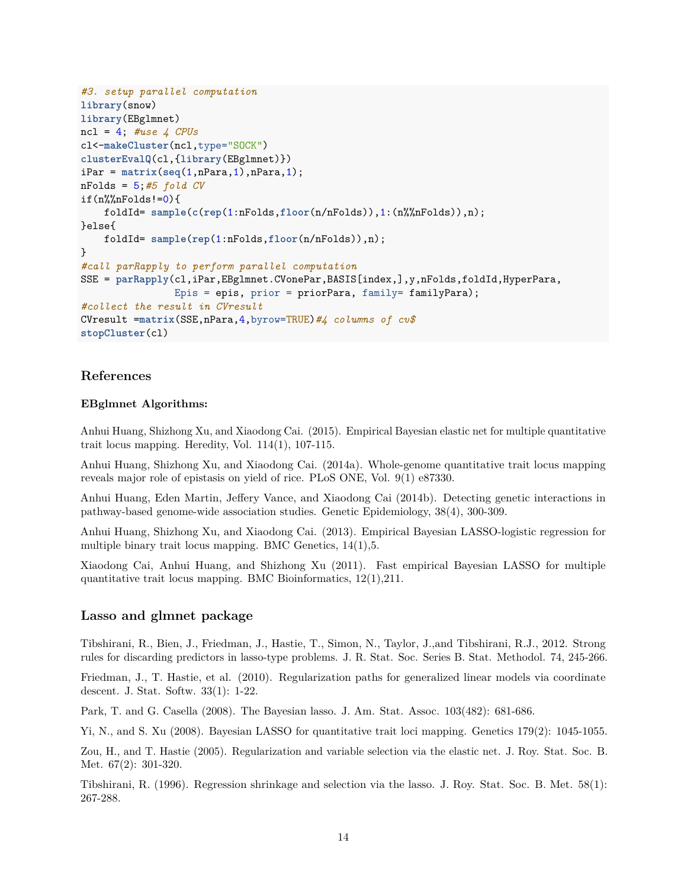```
#3. setup parallel computation
library(snow)
library(EBglmnet)
ncl = 4; #use 4 CPUs
cl<-makeCluster(ncl,type="SOCK")
clusterEvalQ(cl,{library(EBglmnet)})
iPar = matrix(seq(1, nPara, 1), nPara, 1);nFolds = 5;#5 fold CV
if(n%%nFolds!=0){
    foldId= sample(c(rep(1:nFolds,floor(n/nFolds)),1:(n%%nFolds)),n);
}else{
   foldId= sample(rep(1:nFolds,floor(n/nFolds)),n);
}
#call parRapply to perform parallel computation
SSE = parRapply(cl,iPar,EBglmnet.CVonePar,BASIS[index,],y,nFolds,foldId,HyperPara,
                Epis = epis, prior = priorPara, family= familyPara);
#collect the result in CVresult
CVresult =matrix(SSE,nPara,4,byrow=TRUE)#4 columns of cv$
stopCluster(cl)
```
## **References**

## **EBglmnet Algorithms:**

Anhui Huang, Shizhong Xu, and Xiaodong Cai. (2015). Empirical Bayesian elastic net for multiple quantitative trait locus mapping. Heredity, Vol. 114(1), 107-115.

Anhui Huang, Shizhong Xu, and Xiaodong Cai. (2014a). Whole-genome quantitative trait locus mapping reveals major role of epistasis on yield of rice. PLoS ONE, Vol. 9(1) e87330.

Anhui Huang, Eden Martin, Jeffery Vance, and Xiaodong Cai (2014b). Detecting genetic interactions in pathway-based genome-wide association studies. Genetic Epidemiology, 38(4), 300-309.

Anhui Huang, Shizhong Xu, and Xiaodong Cai. (2013). Empirical Bayesian LASSO-logistic regression for multiple binary trait locus mapping. BMC Genetics, 14(1),5.

Xiaodong Cai, Anhui Huang, and Shizhong Xu (2011). Fast empirical Bayesian LASSO for multiple quantitative trait locus mapping. BMC Bioinformatics, 12(1),211.

## **Lasso and glmnet package**

Tibshirani, R., Bien, J., Friedman, J., Hastie, T., Simon, N., Taylor, J.,and Tibshirani, R.J., 2012. Strong rules for discarding predictors in lasso-type problems. J. R. Stat. Soc. Series B. Stat. Methodol. 74, 245-266.

Friedman, J., T. Hastie, et al. (2010). Regularization paths for generalized linear models via coordinate descent. J. Stat. Softw. 33(1): 1-22.

Park, T. and G. Casella (2008). The Bayesian lasso. J. Am. Stat. Assoc. 103(482): 681-686.

Yi, N., and S. Xu (2008). Bayesian LASSO for quantitative trait loci mapping. Genetics 179(2): 1045-1055.

Zou, H., and T. Hastie (2005). Regularization and variable selection via the elastic net. J. Roy. Stat. Soc. B. Met. 67(2): 301-320.

Tibshirani, R. (1996). Regression shrinkage and selection via the lasso. J. Roy. Stat. Soc. B. Met. 58(1): 267-288.